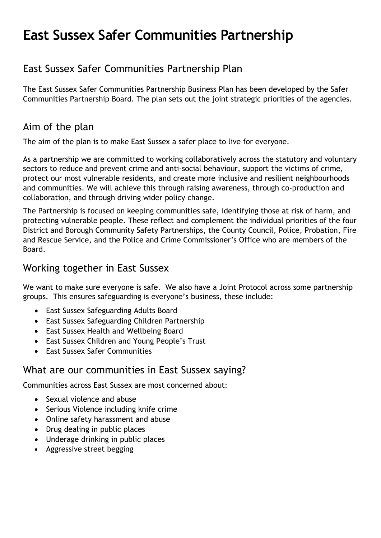# East Sussex Safer Communities Partnership

## East Sussex Safer Communities Partnership Plan

The East Sussex Safer Communities Partnership Business Plan has been developed by the Safer Communities Partnership Board. The plan sets out the joint strategic priorities of the agencies.

## Aim of the plan

The aim of the plan is to make East Sussex a safer place to live for everyone.

As a partnership we are committed to working collaboratively across the statutory and voluntary sectors to reduce and prevent crime and anti-social behaviour, support the victims of crime, protect our most vulnerable residents, and create more inclusive and resilient neighbourhoods and communities. We will achieve this through raising awareness, through co-production and collaboration, and through driving wider policy change.

The Partnership is focused on keeping communities safe, identifying those at risk of harm, and protecting vulnerable people. These reflect and complement the individual priorities of the four District and Borough Community Safety Partnerships, the County Council, Police, Probation, Fire and Rescue Service, and the Police and Crime Commissioner's Office who are members of the Board.

### Working together in East Sussex

We want to make sure everyone is safe. We also have a Joint Protocol across some partnership groups. This ensures safeguarding is everyone's business, these include:

- East Sussex Safeguarding Adults Board
- East Sussex Safeguarding Children Partnership
- East Sussex Health and Wellbeing Board
- East Sussex Children and Young People's Trust
- East Sussex Safer Communities

## What are our communities in East Sussex saying?

Communities across East Sussex are most concerned about:

- Sexual violence and abuse
- Serious Violence including knife crime
- Online safety harassment and abuse
- Drug dealing in public places
- Underage drinking in public places
- Aggressive street begging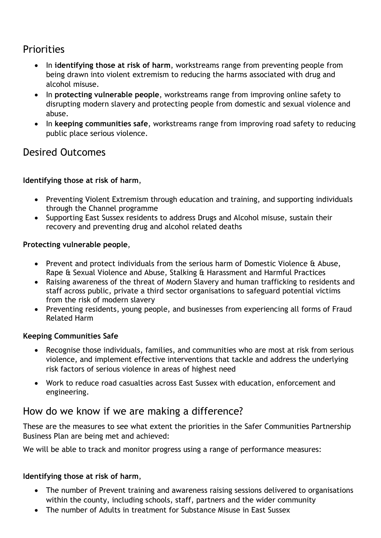## **Priorities**

- In identifying those at risk of harm, workstreams range from preventing people from being drawn into violent extremism to reducing the harms associated with drug and alcohol misuse.
- In protecting vulnerable people, workstreams range from improving online safety to disrupting modern slavery and protecting people from domestic and sexual violence and abuse.
- In keeping communities safe, workstreams range from improving road safety to reducing public place serious violence.

## Desired Outcomes

#### Identifying those at risk of harm,

- Preventing Violent Extremism through education and training, and supporting individuals through the Channel programme
- Supporting East Sussex residents to address Drugs and Alcohol misuse, sustain their recovery and preventing drug and alcohol related deaths

#### Protecting vulnerable people,

- Prevent and protect individuals from the serious harm of Domestic Violence & Abuse, Rape & Sexual Violence and Abuse, Stalking & Harassment and Harmful Practices
- Raising awareness of the threat of Modern Slavery and human trafficking to residents and staff across public, private a third sector organisations to safeguard potential victims from the risk of modern slavery
- Preventing residents, young people, and businesses from experiencing all forms of Fraud Related Harm

#### Keeping Communities Safe

- Recognise those individuals, families, and communities who are most at risk from serious violence, and implement effective interventions that tackle and address the underlying risk factors of serious violence in areas of highest need
- Work to reduce road casualties across East Sussex with education, enforcement and engineering.

## How do we know if we are making a difference?

These are the measures to see what extent the priorities in the Safer Communities Partnership Business Plan are being met and achieved:

We will be able to track and monitor progress using a range of performance measures:

#### Identifying those at risk of harm,

- The number of Prevent training and awareness raising sessions delivered to organisations within the county, including schools, staff, partners and the wider community
- The number of Adults in treatment for Substance Misuse in East Sussex